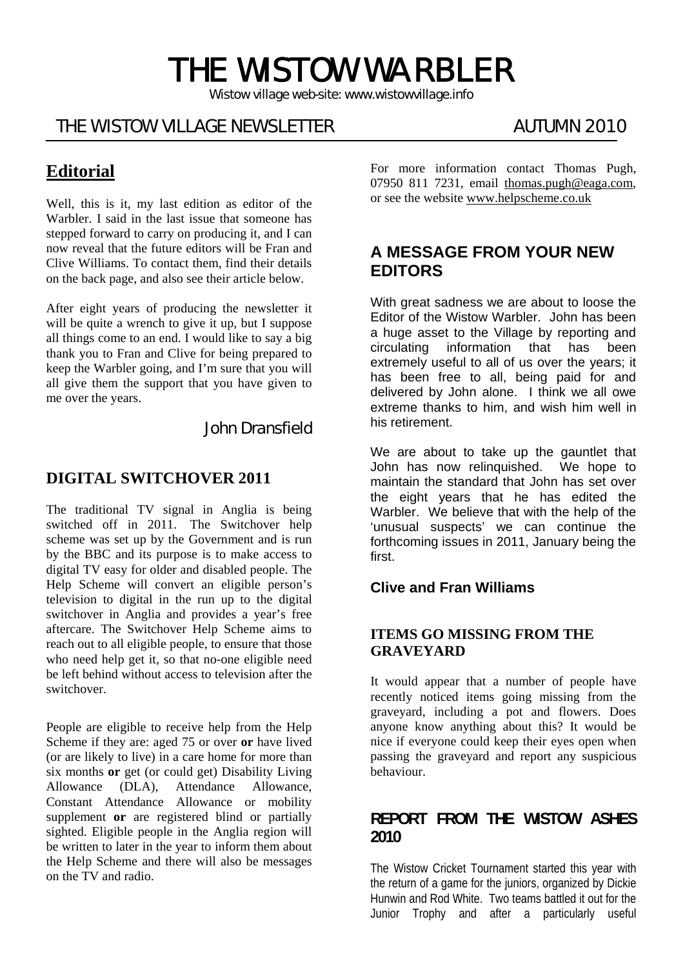# THE WISTOW WARBLER

*Wistow village web-site: www.wistowvillage.info* 

ī

# THE WISTOW VILLAGE NEWSLETTER AUTUMN 2010

# **Editorial**

Well, this is it, my last edition as editor of the Warbler. I said in the last issue that someone has stepped forward to carry on producing it, and I can now reveal that the future editors will be Fran and Clive Williams. To contact them, find their details on the back page, and also see their article below.

After eight years of producing the newsletter it will be quite a wrench to give it up, but I suppose all things come to an end. I would like to say a big thank you to Fran and Clive for being prepared to keep the Warbler going, and I'm sure that you will all give them the support that you have given to me over the years.

John Dransfield

#### **DIGITAL SWITCHOVER 2011**

The traditional TV signal in Anglia is being switched off in 2011. The Switchover help scheme was set up by the Government and is run by the BBC and its purpose is to make access to digital TV easy for older and disabled people. The Help Scheme will convert an eligible person's television to digital in the run up to the digital switchover in Anglia and provides a year's free aftercare. The Switchover Help Scheme aims to reach out to all eligible people, to ensure that those who need help get it, so that no-one eligible need be left behind without access to television after the switchover.

People are eligible to receive help from the Help Scheme if they are: aged 75 or over **or** have lived (or are likely to live) in a care home for more than six months **or** get (or could get) Disability Living Allowance (DLA), Attendance Allowance, Constant Attendance Allowance or mobility supplement **or** are registered blind or partially sighted. Eligible people in the Anglia region will be written to later in the year to inform them about the Help Scheme and there will also be messages on the TV and radio.

For more information contact Thomas Pugh, 07950 811 7231, email thomas.pugh@eaga.com, or see the website www.helpscheme.co.uk

## **A MESSAGE FROM YOUR NEW EDITORS**

With great sadness we are about to loose the Editor of the Wistow Warbler. John has been a huge asset to the Village by reporting and circulating information that has been extremely useful to all of us over the years; it has been free to all, being paid for and delivered by John alone. I think we all owe extreme thanks to him, and wish him well in his retirement.

We are about to take up the gauntlet that John has now relinquished. We hope to maintain the standard that John has set over the eight years that he has edited the Warbler. We believe that with the help of the 'unusual suspects' we can continue the forthcoming issues in 2011, January being the first.

#### **Clive and Fran Williams**

#### **ITEMS GO MISSING FROM THE GRAVEYARD**

It would appear that a number of people have recently noticed items going missing from the graveyard, including a pot and flowers. Does anyone know anything about this? It would be nice if everyone could keep their eyes open when passing the graveyard and report any suspicious **behaviour** 

#### **REPORT FROM THE WISTOW ASHES 2010**

The Wistow Cricket Tournament started this year with the return of a game for the juniors, organized by Dickie Hunwin and Rod White. Two teams battled it out for the Junior Trophy and after a particularly useful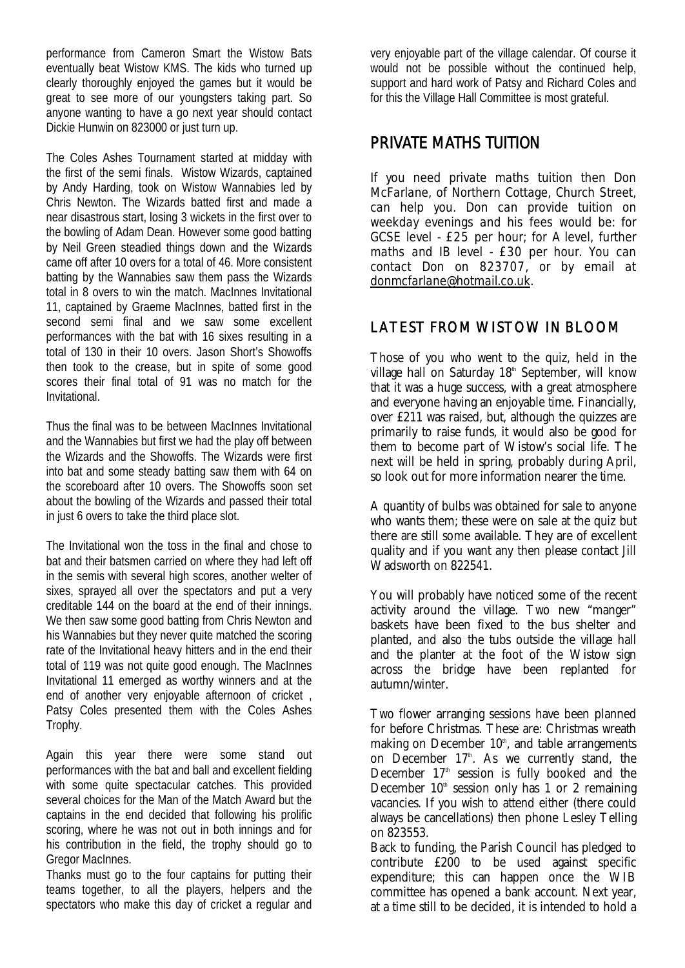performance from Cameron Smart the Wistow Bats eventually beat Wistow KMS. The kids who turned up clearly thoroughly enjoyed the games but it would be great to see more of our youngsters taking part. So anyone wanting to have a go next year should contact Dickie Hunwin on 823000 or just turn up.

The Coles Ashes Tournament started at midday with the first of the semi finals. Wistow Wizards, captained by Andy Harding, took on Wistow Wannabies led by Chris Newton. The Wizards batted first and made a near disastrous start, losing 3 wickets in the first over to the bowling of Adam Dean. However some good batting by Neil Green steadied things down and the Wizards came off after 10 overs for a total of 46. More consistent batting by the Wannabies saw them pass the Wizards total in 8 overs to win the match. MacInnes Invitational 11, captained by Graeme MacInnes, batted first in the second semi final and we saw some excellent performances with the bat with 16 sixes resulting in a total of 130 in their 10 overs. Jason Short's Showoffs then took to the crease, but in spite of some good scores their final total of 91 was no match for the Invitational.

Thus the final was to be between MacInnes Invitational and the Wannabies but first we had the play off between the Wizards and the Showoffs. The Wizards were first into bat and some steady batting saw them with 64 on the scoreboard after 10 overs. The Showoffs soon set about the bowling of the Wizards and passed their total in just 6 overs to take the third place slot.

The Invitational won the toss in the final and chose to bat and their batsmen carried on where they had left off in the semis with several high scores, another welter of sixes, sprayed all over the spectators and put a very creditable 144 on the board at the end of their innings. We then saw some good batting from Chris Newton and his Wannabies but they never quite matched the scoring rate of the Invitational heavy hitters and in the end their total of 119 was not quite good enough. The MacInnes Invitational 11 emerged as worthy winners and at the end of another very enjoyable afternoon of cricket , Patsy Coles presented them with the Coles Ashes Trophy.

Again this year there were some stand out performances with the bat and ball and excellent fielding with some quite spectacular catches. This provided several choices for the Man of the Match Award but the captains in the end decided that following his prolific scoring, where he was not out in both innings and for his contribution in the field, the trophy should go to Gregor MacInnes.

Thanks must go to the four captains for putting their teams together, to all the players, helpers and the spectators who make this day of cricket a regular and

very enjoyable part of the village calendar. Of course it would not be possible without the continued help, support and hard work of Patsy and Richard Coles and for this the Village Hall Committee is most grateful.

# PRIVATE MATHS TUITION

If you need private maths tuition then Don McFarlane, of Northern Cottage, Church Street, can help you. Don can provide tuition on weekday evenings and his fees would be: for GCSE level - £25 per hour; for A level, further maths and IB level - £30 per hour. You can contact Don on 823707, or by email at donmcfarlane@hotmail.co.uk.

### LATEST FROM WISTOW IN BLOOM

Those of you who went to the quiz, held in the village hall on Saturday 18<sup>th</sup> September, will know that it was a huge success, with a great atmosphere and everyone having an enjoyable time. Financially, over £211 was raised, but, although the quizzes are primarily to raise funds, it would also be good for them to become part of Wistow's social life. The next will be held in spring, probably during April, so look out for more information nearer the time.

A quantity of bulbs was obtained for sale to anyone who wants them; these were on sale at the quiz but there are still some available. They are of excellent quality and if you want any then please contact Jill Wadsworth on 822541.

You will probably have noticed some of the recent activity around the village. Two new "manger" baskets have been fixed to the bus shelter and planted, and also the tubs outside the village hall and the planter at the foot of the Wistow sign across the bridge have been replanted for autumn/winter.

Two flower arranging sessions have been planned for before Christmas. These are: Christmas wreath making on December  $10<sup>th</sup>$ , and table arrangements on December  $17<sup>th</sup>$ . As we currently stand, the December  $17<sup>th</sup>$  session is fully booked and the December  $10<sup>th</sup>$  session only has 1 or 2 remaining vacancies. If you wish to attend either (there could always be cancellations) then phone Lesley Telling on 823553.

Back to funding, the Parish Council has pledged to contribute £200 to be used against specific expenditure; this can happen once the WIB committee has opened a bank account. Next year, at a time still to be decided, it is intended to hold a